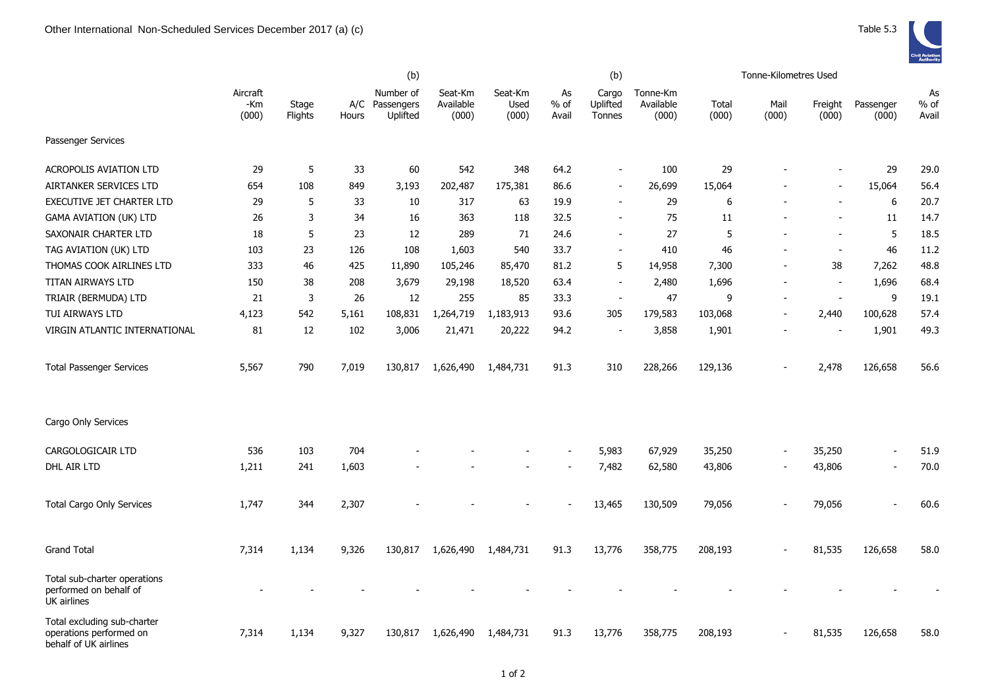|                                                                                 |                          |                  |              | (b)                                 |                               |                          |                       | (b)                         |                                |                | Tonne-Kilometres Used |                          |                          |                       |
|---------------------------------------------------------------------------------|--------------------------|------------------|--------------|-------------------------------------|-------------------------------|--------------------------|-----------------------|-----------------------------|--------------------------------|----------------|-----------------------|--------------------------|--------------------------|-----------------------|
|                                                                                 | Aircraft<br>-Km<br>(000) | Stage<br>Flights | A/C<br>Hours | Number of<br>Passengers<br>Uplifted | Seat-Km<br>Available<br>(000) | Seat-Km<br>Used<br>(000) | As<br>$%$ of<br>Avail | Cargo<br>Uplifted<br>Tonnes | Tonne-Km<br>Available<br>(000) | Total<br>(000) | Mail<br>(000)         | Freight<br>(000)         | Passenger<br>(000)       | As<br>$%$ of<br>Avail |
| Passenger Services                                                              |                          |                  |              |                                     |                               |                          |                       |                             |                                |                |                       |                          |                          |                       |
| <b>ACROPOLIS AVIATION LTD</b>                                                   | 29                       | 5                | 33           | 60                                  | 542                           | 348                      | 64.2                  | $\blacksquare$              | 100                            | 29             |                       |                          | 29                       | 29.0                  |
| AIRTANKER SERVICES LTD                                                          | 654                      | 108              | 849          | 3,193                               | 202,487                       | 175,381                  | 86.6                  | $\blacksquare$              | 26,699                         | 15,064         |                       |                          | 15,064                   | 56.4                  |
| <b>EXECUTIVE JET CHARTER LTD</b>                                                | 29                       | 5                | 33           | 10                                  | 317                           | 63                       | 19.9                  | $\overline{\phantom{a}}$    | 29                             | 6              |                       |                          | 6                        | 20.7                  |
| <b>GAMA AVIATION (UK) LTD</b>                                                   | 26                       | 3                | 34           | 16                                  | 363                           | 118                      | 32.5                  | $\blacksquare$              | 75                             | 11             |                       |                          | 11                       | 14.7                  |
| SAXONAIR CHARTER LTD                                                            | 18                       | 5                | 23           | 12                                  | 289                           | 71                       | 24.6                  | $\blacksquare$              | 27                             | 5              |                       | $\sim$                   | 5                        | 18.5                  |
| TAG AVIATION (UK) LTD                                                           | 103                      | 23               | 126          | 108                                 | 1,603                         | 540                      | 33.7                  | $\blacksquare$              | 410                            | 46             |                       | $\overline{\phantom{a}}$ | 46                       | 11.2                  |
| THOMAS COOK AIRLINES LTD                                                        | 333                      | 46               | 425          | 11,890                              | 105,246                       | 85,470                   | 81.2                  | 5                           | 14,958                         | 7,300          |                       | 38                       | 7,262                    | 48.8                  |
| TITAN AIRWAYS LTD                                                               | 150                      | 38               | 208          | 3,679                               | 29,198                        | 18,520                   | 63.4                  | $\overline{a}$              | 2,480                          | 1,696          |                       | $\blacksquare$           | 1,696                    | 68.4                  |
| TRIAIR (BERMUDA) LTD                                                            | 21                       | 3                | 26           | 12                                  | 255                           | 85                       | 33.3                  | $\overline{\phantom{a}}$    | 47                             | 9              |                       | $\sim$                   | 9                        | 19.1                  |
| TUI AIRWAYS LTD                                                                 | 4,123                    | 542              | 5,161        | 108,831                             | 1,264,719                     | 1,183,913                | 93.6                  | 305                         | 179,583                        | 103,068        | ÷,                    | 2,440                    | 100,628                  | 57.4                  |
| VIRGIN ATLANTIC INTERNATIONAL                                                   | 81                       | 12               | 102          | 3,006                               | 21,471                        | 20,222                   | 94.2                  | $\overline{\phantom{a}}$    | 3,858                          | 1,901          |                       |                          | 1,901                    | 49.3                  |
| <b>Total Passenger Services</b>                                                 | 5,567                    | 790              | 7,019        | 130,817                             | 1,626,490                     | 1,484,731                | 91.3                  | 310                         | 228,266                        | 129,136        |                       | 2,478                    | 126,658                  | 56.6                  |
| Cargo Only Services                                                             |                          |                  |              |                                     |                               |                          |                       |                             |                                |                |                       |                          |                          |                       |
| CARGOLOGICAIR LTD                                                               | 536                      | 103              | 704          |                                     |                               |                          |                       | 5,983                       | 67,929                         | 35,250         | ÷,                    | 35,250                   | $\overline{\phantom{a}}$ | 51.9                  |
| DHL AIR LTD                                                                     | 1,211                    | 241              | 1,603        |                                     |                               |                          |                       | 7,482                       | 62,580                         | 43,806         |                       | 43,806                   | $\sim$                   | 70.0                  |
| <b>Total Cargo Only Services</b>                                                | 1,747                    | 344              | 2,307        |                                     |                               |                          |                       | 13,465                      | 130,509                        | 79,056         |                       | 79,056                   |                          | 60.6                  |
| <b>Grand Total</b>                                                              | 7,314                    | 1,134            | 9,326        | 130,817                             | 1,626,490                     | 1,484,731                | 91.3                  | 13,776                      | 358,775                        | 208,193        |                       | 81,535                   | 126,658                  | 58.0                  |
| Total sub-charter operations<br>performed on behalf of<br>UK airlines           |                          |                  |              |                                     |                               |                          |                       |                             |                                |                |                       |                          |                          |                       |
| Total excluding sub-charter<br>operations performed on<br>behalf of UK airlines | 7,314                    | 1,134            | 9,327        | 130,817                             | 1,626,490                     | 1,484,731                | 91.3                  | 13,776                      | 358,775                        | 208,193        |                       | 81,535                   | 126,658                  | 58.0                  |